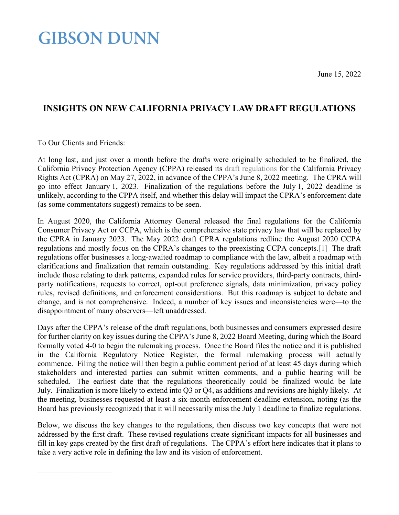June 15, 2022

# **GIBSON DUNN**

### **INSIGHTS ON NEW CALIFORNIA PRIVACY LAW DRAFT REGULATIONS**

To Our Clients and Friends:

<span id="page-0-0"></span>At long last, and just over a month before the drafts were originally scheduled to be finalized, the California Privacy Protection Agency (CPPA) released its [draft regulations](https://cppa.ca.gov/meetings/materials/20220608_item3.pdf) for the California Privacy Rights Act (CPRA) on May 27, 2022, in advance of the CPPA's June 8, 2022 meeting. The CPRA will go into effect January 1, 2023. Finalization of the regulations before the July 1, 2022 deadline is unlikely, according to the CPPA itself, and whether this delay will impact the CPRA's enforcement date (as some commentators suggest) remains to be seen.

In August 2020, the California Attorney General released the final regulations for the California Consumer Privacy Act or CCPA, which is the comprehensive state privacy law that will be replaced by the CPRA in January 2023. The May 2022 draft CPRA regulations redline the August 2020 CCPA regulations and mostly focus on the CPRA's changes to the preexisting CCPA concepts[.\[1\]](#page-10-0) The draft regulations offer businesses a long-awaited roadmap to compliance with the law, albeit a roadmap with clarifications and finalization that remain outstanding. Key regulations addressed by this initial draft include those relating to dark patterns, expanded rules for service providers, third-party contracts, thirdparty notifications, requests to correct, opt-out preference signals, data minimization, privacy policy rules, revised definitions, and enforcement considerations. But this roadmap is subject to debate and change, and is not comprehensive. Indeed, a number of key issues and inconsistencies were—to the disappointment of many observers—left unaddressed.

Days after the CPPA's release of the draft regulations, both businesses and consumers expressed desire for further clarity on key issues during the CPPA's June 8, 2022 Board Meeting, during which the Board formally voted 4-0 to begin the rulemaking process. Once the Board files the notice and it is published in the California Regulatory Notice Register, the formal rulemaking process will actually commence. Filing the notice will then begin a public comment period of at least 45 days during which stakeholders and interested parties can submit written comments, and a public hearing will be scheduled. The earliest date that the regulations theoretically could be finalized would be late July. Finalization is more likely to extend into Q3 or Q4, as additions and revisions are highly likely. At the meeting, businesses requested at least a six-month enforcement deadline extension, noting (as the Board has previously recognized) that it will necessarily miss the July 1 deadline to finalize regulations.

Below, we discuss the key changes to the regulations, then discuss two key concepts that were not addressed by the first draft. These revised regulations create significant impacts for all businesses and fill in key gaps created by the first draft of regulations. The CPPA's effort here indicates that it plans to take a very active role in defining the law and its vision of enforcement.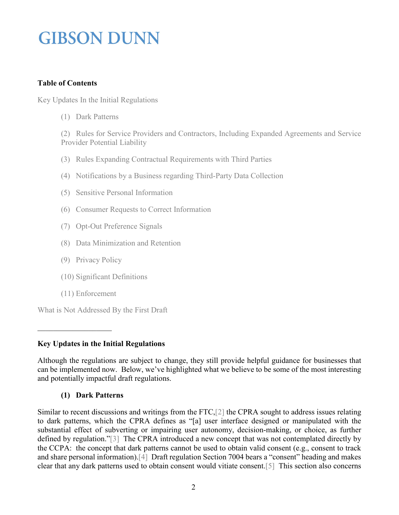### **Table of Contents**

[Key Updates In the Initial Regulations](#page-1-0)

[\(1\) Dark Patterns](#page-1-1) 

[\(2\) Rules for Service Providers and Contractors, Including Expanded Agreements and Service](#page-2-0)  [Provider Potential Liability](#page-2-0) 

- [\(3\) Rules Expanding Contractual Requirements with Third Parties](#page-4-0)
- [\(4\) Notifications by a Business regarding Third-Party Data Collection](#page-4-1)
- [\(5\) Sensitive Personal Information](#page-5-0)
- [\(6\) Consumer Requests to Correct Information](#page-5-1)
- [\(7\) Opt-Out Preference Signals](#page-5-2)
- [\(8\) Data Minimization and Retention](#page-6-0)
- [\(9\) Privacy Policy](#page-7-0)
- (10) Significant Definitions
- [\(11\) Enforcement](#page-8-0)

[What is Not Addressed By the First Draft](#page-8-1)

### <span id="page-1-0"></span>**Key Updates in the Initial Regulations**

Although the regulations are subject to change, they still provide helpful guidance for businesses that can be implemented now. Below, we've highlighted what we believe to be some of the most interesting and potentially impactful draft regulations.

### **(1) Dark Patterns**

<span id="page-1-1"></span>Similar to recent discussions and writings from the FTC[,\[2\]](#page-10-1) the CPRA sought to address issues relating to dark patterns, which the CPRA defines as "[a] user interface designed or manipulated with the substantial effect of subverting or impairing user autonomy, decision-making, or choice, as further defined by regulation.["\[3\]](#page-10-2) The CPRA introduced a new concept that was not contemplated directly by the CCPA: the concept that dark patterns cannot be used to obtain valid consent (e.g., consent to track and share personal information)[.\[4\]](#page-0-0) Draft regulation Section 7004 bears a "consent" heading and makes clear that any dark patterns used to obtain consent would vitiate consent[.\[5\]](#page-10-3) This section also concerns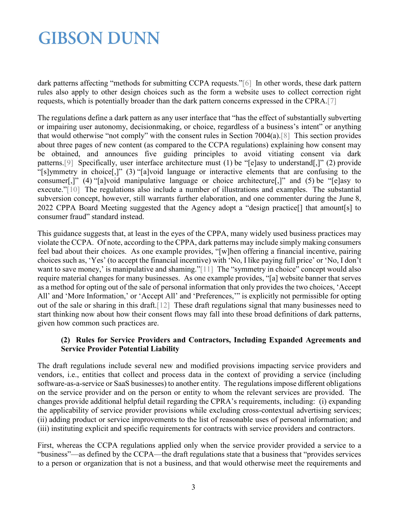dark patterns affecting "methods for submitting CCPA requests.["\[6\]](#page-10-4) In other words, these dark pattern rules also apply to other design choices such as the form a website uses to collect correction right requests, which is potentially broader than the dark pattern concerns expressed in the CPRA[.\[7\]](#page-10-5)

The regulations define a dark pattern as any user interface that "has the effect of substantially subverting or impairing user autonomy, decisionmaking, or choice, regardless of a business's intent" or anything that would otherwise "not comply" with the consent rules in Section 7004(a)[.\[8\]](#page-10-6) This section provides about three pages of new content (as compared to the CCPA regulations) explaining how consent may be obtained, and announces five guiding principles to avoid vitiating consent via dark patterns.<sup>[9]</sup> Specifically, user interface architecture must (1) be "[e]asy to understand[,]" (2) provide "[s]ymmetry in choice[,]" (3) "[a]void language or interactive elements that are confusing to the consumer[,]" (4) "[a]void manipulative language or choice architecture[,]" and (5) be "[e]asy to execute.["\[10\]](#page-10-8) The regulations also include a number of illustrations and examples. The substantial subversion concept, however, still warrants further elaboration, and one commenter during the June 8, 2022 CPPA Board Meeting suggested that the Agency adopt a "design practice[] that amount[s] to consumer fraud" standard instead.

This guidance suggests that, at least in the eyes of the CPPA, many widely used business practices may violate the CCPA. Of note, according to the CPPA, dark patterns may include simply making consumers feel bad about their choices. As one example provides, "[w]hen offering a financial incentive, pairing choices such as, 'Yes' (to accept the financial incentive) with 'No, I like paying full price' or 'No, I don't want to save money,' is manipulative and shaming.["\[11\]](#page-10-9) The "symmetry in choice" concept would also require material changes for many businesses. As one example provides, "[a] website banner that serves as a method for opting out of the sale of personal information that only provides the two choices, 'Accept All' and 'More Information,' or 'Accept All' and 'Preferences,'" is explicitly not permissible for opting out of the sale or sharing in this draft[.\[12\]](#page-10-10) These draft regulations signal that many businesses need to start thinking now about how their consent flows may fall into these broad definitions of dark patterns, given how common such practices are.

#### <span id="page-2-0"></span>**(2) Rules for Service Providers and Contractors, Including Expanded Agreements and Service Provider Potential Liability**

The draft regulations include several new and modified provisions impacting service providers and vendors, i.e., entities that collect and process data in the context of providing a service (including software-as-a-service or SaaS businesses) to another entity. The regulations impose different obligations on the service provider and on the person or entity to whom the relevant services are provided. The changes provide additional helpful detail regarding the CPRA's requirements, including: (i) expanding the applicability of service provider provisions while excluding cross-contextual advertising services; (ii) adding product or service improvements to the list of reasonable uses of personal information; and (iii) instituting explicit and specific requirements for contracts with service providers and contractors.

First, whereas the CCPA regulations applied only when the service provider provided a service to a "business"—as defined by the CCPA—the draft regulations state that a business that "provides services to a person or organization that is not a business, and that would otherwise meet the requirements and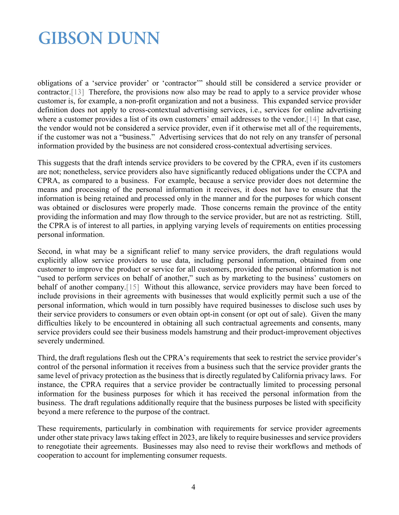obligations of a 'service provider' or 'contractor'" should still be considered a service provider or contractor[.\[13\]](#page-10-11) Therefore, the provisions now also may be read to apply to a service provider whose customer is, for example, a non-profit organization and not a business. This expanded service provider definition does not apply to cross-contextual advertising services, i.e., services for online advertising where a customer provides a list of its own customers' email addresses to the vendor.<sup>[14]</sup> In that case, the vendor would not be considered a service provider, even if it otherwise met all of the requirements, if the customer was not a "business." Advertising services that do not rely on any transfer of personal information provided by the business are not considered cross-contextual advertising services.

This suggests that the draft intends service providers to be covered by the CPRA, even if its customers are not; nonetheless, service providers also have significantly reduced obligations under the CCPA and CPRA, as compared to a business. For example, because a service provider does not determine the means and processing of the personal information it receives, it does not have to ensure that the information is being retained and processed only in the manner and for the purposes for which consent was obtained or disclosures were properly made. Those concerns remain the province of the entity providing the information and may flow through to the service provider, but are not as restricting. Still, the CPRA is of interest to all parties, in applying varying levels of requirements on entities processing personal information.

Second, in what may be a significant relief to many service providers, the draft regulations would explicitly allow service providers to use data, including personal information, obtained from one customer to improve the product or service for all customers, provided the personal information is not "used to perform services on behalf of another," such as by marketing to the business' customers on behalf of another company.<sup>[15]</sup> Without this allowance, service providers may have been forced to include provisions in their agreements with businesses that would explicitly permit such a use of the personal information, which would in turn possibly have required businesses to disclose such uses by their service providers to consumers or even obtain opt-in consent (or opt out of sale). Given the many difficulties likely to be encountered in obtaining all such contractual agreements and consents, many service providers could see their business models hamstrung and their product-improvement objectives severely undermined.

Third, the draft regulations flesh out the CPRA's requirements that seek to restrict the service provider's control of the personal information it receives from a business such that the service provider grants the same level of privacy protection as the business that is directly regulated by California privacy laws. For instance, the CPRA requires that a service provider be contractually limited to processing personal information for the business purposes for which it has received the personal information from the business. The draft regulations additionally require that the business purposes be listed with specificity beyond a mere reference to the purpose of the contract.

These requirements, particularly in combination with requirements for service provider agreements under other state privacy laws taking effect in 2023, are likely to require businesses and service providers to renegotiate their agreements. Businesses may also need to revise their workflows and methods of cooperation to account for implementing consumer requests.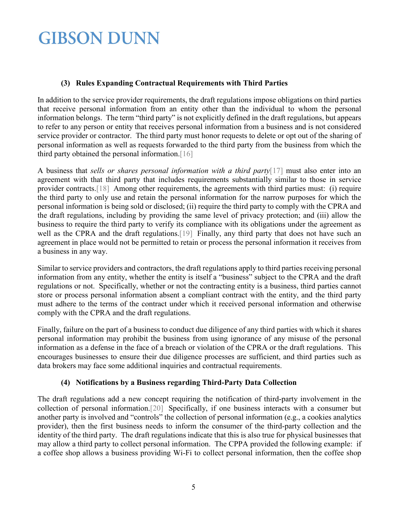#### **(3) Rules Expanding Contractual Requirements with Third Parties**

<span id="page-4-0"></span>In addition to the service provider requirements, the draft regulations impose obligations on third parties that receive personal information from an entity other than the individual to whom the personal information belongs. The term "third party" is not explicitly defined in the draft regulations, but appears to refer to any person or entity that receives personal information from a business and is not considered service provider or contractor. The third party must honor requests to delete or opt out of the sharing of personal information as well as requests forwarded to the third party from the business from which the third party obtained the personal information[.\[16\]](#page-10-14)

A business that *sells or shares personal information with a third party*[\[17\]](#page-11-0) must also enter into an agreement with that third party that includes requirements substantially similar to those in service provider contracts[.\[18\]](#page-11-1) Among other requirements, the agreements with third parties must: (i) require the third party to only use and retain the personal information for the narrow purposes for which the personal information is being sold or disclosed; (ii) require the third party to comply with the CPRA and the draft regulations, including by providing the same level of privacy protection; and (iii) allow the business to require the third party to verify its compliance with its obligations under the agreement as well as the CPRA and the draft regulations.<sup>[19]</sup> Finally, any third party that does not have such an agreement in place would not be permitted to retain or process the personal information it receives from a business in any way.

Similar to service providers and contractors, the draft regulations apply to third parties receiving personal information from any entity, whether the entity is itself a "business" subject to the CPRA and the draft regulations or not. Specifically, whether or not the contracting entity is a business, third parties cannot store or process personal information absent a compliant contract with the entity, and the third party must adhere to the terms of the contract under which it received personal information and otherwise comply with the CPRA and the draft regulations.

Finally, failure on the part of a business to conduct due diligence of any third parties with which it shares personal information may prohibit the business from using ignorance of any misuse of the personal information as a defense in the face of a breach or violation of the CPRA or the draft regulations. This encourages businesses to ensure their due diligence processes are sufficient, and third parties such as data brokers may face some additional inquiries and contractual requirements.

### **(4) Notifications by a Business regarding Third-Party Data Collection**

<span id="page-4-1"></span>The draft regulations add a new concept requiring the notification of third-party involvement in the collection of personal information[.\[20\]](#page-11-3) Specifically, if one business interacts with a consumer but another party is involved and "controls" the collection of personal information (e.g., a cookies analytics provider), then the first business needs to inform the consumer of the third-party collection and the identity of the third party. The draft regulations indicate that this is also true for physical businesses that may allow a third party to collect personal information. The CPPA provided the following example: if a coffee shop allows a business providing Wi-Fi to collect personal information, then the coffee shop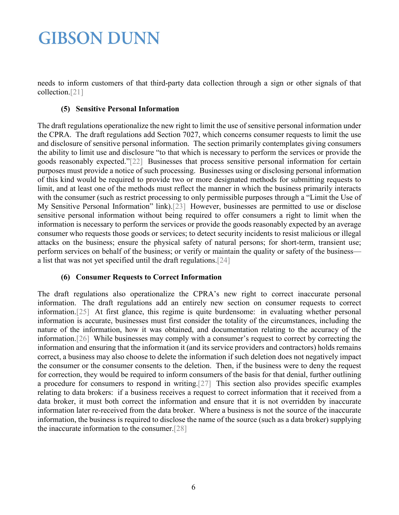<span id="page-5-0"></span>needs to inform customers of that third-party data collection through a sign or other signals of that collection[.\[21\]](#page-11-4)

#### **(5) Sensitive Personal Information**

The draft regulations operationalize the new right to limit the use of sensitive personal information under the CPRA. The draft regulations add Section 7027, which concerns consumer requests to limit the use and disclosure of sensitive personal information. The section primarily contemplates giving consumers the ability to limit use and disclosure "to that which is necessary to perform the services or provide the goods reasonably expected.["\[22\]](#page-11-5) Businesses that process sensitive personal information for certain purposes must provide a notice of such processing. Businesses using or disclosing personal information of this kind would be required to provide two or more designated methods for submitting requests to limit, and at least one of the methods must reflect the manner in which the business primarily interacts with the consumer (such as restrict processing to only permissible purposes through a "Limit the Use of My Sensitive Personal Information" link)[.\[23\]](#page-11-6) However, businesses are permitted to use or disclose sensitive personal information without being required to offer consumers a right to limit when the information is necessary to perform the services or provide the goods reasonably expected by an average consumer who requests those goods or services; to detect security incidents to resist malicious or illegal attacks on the business; ensure the physical safety of natural persons; for short-term, transient use; perform services on behalf of the business; or verify or maintain the quality or safety of the business a list that was not yet specified until the draft regulations[.\[24\]](#page-11-7)

#### **(6) Consumer Requests to Correct Information**

<span id="page-5-2"></span><span id="page-5-1"></span>The draft regulations also operationalize the CPRA's new right to correct inaccurate personal information. The draft regulations add an entirely new section on consumer requests to correct information[.\[25\]](#page-11-8) At first glance, this regime is quite burdensome: in evaluating whether personal information is accurate, businesses must first consider the totality of the circumstances, including the nature of the information, how it was obtained, and documentation relating to the accuracy of the information[.\[26\]](#page-11-9) While businesses may comply with a consumer's request to correct by correcting the information and ensuring that the information it (and its service providers and contractors) holds remains correct, a business may also choose to delete the information if such deletion does not negatively impact the consumer or the consumer consents to the deletion. Then, if the business were to deny the request for correction, they would be required to inform consumers of the basis for that denial, further outlining a procedure for consumers to respond in writing[.\[27\]](#page-11-10) This section also provides specific examples relating to data brokers: if a business receives a request to correct information that it received from a data broker, it must both correct the information and ensure that it is not overridden by inaccurate information later re-received from the data broker. Where a business is not the source of the inaccurate information, the business is required to disclose the name of the source (such as a data broker) supplying the inaccurate information to the consumer[.\[28\]](#page-11-11)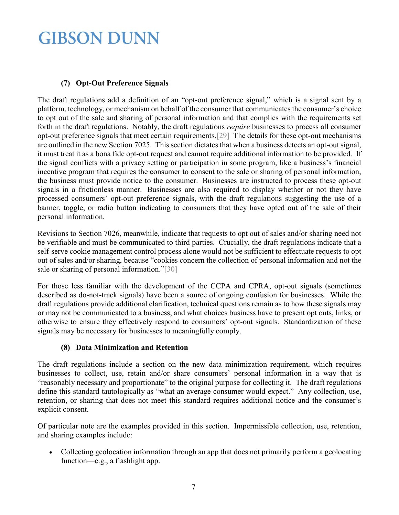### **(7) Opt-Out Preference Signals**

The draft regulations add a definition of an "opt-out preference signal," which is a signal sent by a platform, technology, or mechanism on behalf of the consumer that communicates the consumer's choice to opt out of the sale and sharing of personal information and that complies with the requirements set forth in the draft regulations. Notably, the draft regulations *require* businesses to process all consumer opt-out preference signals that meet certain requirements[.\[29\]](#page-11-12) The details for these opt-out mechanisms are outlined in the new Section 7025. This section dictates that when a business detects an opt-out signal, it must treat it as a bona fide opt-out request and cannot require additional information to be provided. If the signal conflicts with a privacy setting or participation in some program, like a business's financial incentive program that requires the consumer to consent to the sale or sharing of personal information, the business must provide notice to the consumer. Businesses are instructed to process these opt-out signals in a frictionless manner. Businesses are also required to display whether or not they have processed consumers' opt-out preference signals, with the draft regulations suggesting the use of a banner, toggle, or radio button indicating to consumers that they have opted out of the sale of their personal information.

Revisions to Section 7026, meanwhile, indicate that requests to opt out of sales and/or sharing need not be verifiable and must be communicated to third parties. Crucially, the draft regulations indicate that a self-serve cookie management control process alone would not be sufficient to effectuate requests to opt out of sales and/or sharing, because "cookies concern the collection of personal information and not the sale or sharing of personal information.["\[30\]](#page-11-13)

For those less familiar with the development of the CCPA and CPRA, opt-out signals (sometimes described as do-not-track signals) have been a source of ongoing confusion for businesses. While the draft regulations provide additional clarification, technical questions remain as to how these signals may or may not be communicated to a business, and what choices business have to present opt outs, links, or otherwise to ensure they effectively respond to consumers' opt-out signals. Standardization of these signals may be necessary for businesses to meaningfully comply.

### **(8) Data Minimization and Retention**

<span id="page-6-0"></span>The draft regulations include a section on the new data minimization requirement, which requires businesses to collect, use, retain and/or share consumers' personal information in a way that is "reasonably necessary and proportionate" to the original purpose for collecting it. The draft regulations define this standard tautologically as "what an average consumer would expect." Any collection, use, retention, or sharing that does not meet this standard requires additional notice and the consumer's explicit consent.

Of particular note are the examples provided in this section. Impermissible collection, use, retention, and sharing examples include:

• Collecting geolocation information through an app that does not primarily perform a geolocating function—e.g., a flashlight app.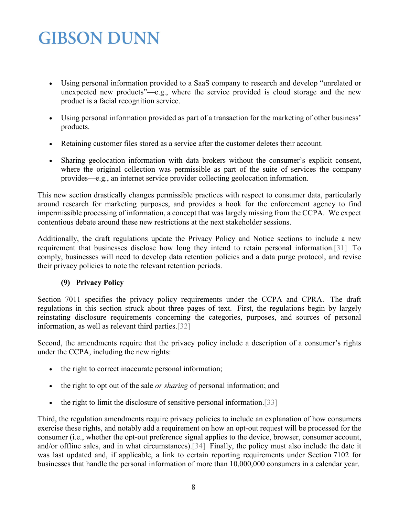- Using personal information provided to a SaaS company to research and develop "unrelated or unexpected new products"—e.g., where the service provided is cloud storage and the new product is a facial recognition service.
- Using personal information provided as part of a transaction for the marketing of other business' products.
- Retaining customer files stored as a service after the customer deletes their account.
- Sharing geolocation information with data brokers without the consumer's explicit consent, where the original collection was permissible as part of the suite of services the company provides—e.g., an internet service provider collecting geolocation information.

This new section drastically changes permissible practices with respect to consumer data, particularly around research for marketing purposes, and provides a hook for the enforcement agency to find impermissible processing of information, a concept that was largely missing from the CCPA. We expect contentious debate around these new restrictions at the next stakeholder sessions.

Additionally, the draft regulations update the Privacy Policy and Notice sections to include a new requirement that businesses disclose how long they intend to retain personal information[.\[31\]](#page-11-14) To comply, businesses will need to develop data retention policies and a data purge protocol, and revise their privacy policies to note the relevant retention periods.

### **(9) Privacy Policy**

<span id="page-7-0"></span>Section 7011 specifies the privacy policy requirements under the CCPA and CPRA. The draft regulations in this section struck about three pages of text. First, the regulations begin by largely reinstating disclosure requirements concerning the categories, purposes, and sources of personal information, as well as relevant third parties[.\[32\]](#page-11-15)

Second, the amendments require that the privacy policy include a description of a consumer's rights under the CCPA, including the new rights:

- the right to correct inaccurate personal information;
- the right to opt out of the sale *or sharing* of personal information; and
- the right to limit the disclosure of sensitive personal information[.\[33\]](#page-11-16)

Third, the regulation amendments require privacy policies to include an explanation of how consumers exercise these rights, and notably add a requirement on how an opt-out request will be processed for the consumer (i.e., whether the opt-out preference signal applies to the device, browser, consumer account, and/or offline sales, and in what circumstances)[.\[34\]](#page-11-17) Finally, the policy must also include the date it was last updated and, if applicable, a link to certain reporting requirements under Section 7102 for businesses that handle the personal information of more than 10,000,000 consumers in a calendar year.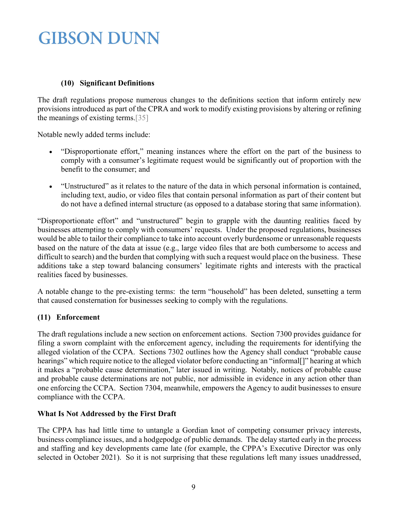#### **(10) Significant Definitions**

The draft regulations propose numerous changes to the definitions section that inform entirely new provisions introduced as part of the CPRA and work to modify existing provisions by altering or refining the meanings of existing terms[.\[35\]](#page-11-18)

Notable newly added terms include:

- "Disproportionate effort," meaning instances where the effort on the part of the business to comply with a consumer's legitimate request would be significantly out of proportion with the benefit to the consumer; and
- "Unstructured" as it relates to the nature of the data in which personal information is contained, including text, audio, or video files that contain personal information as part of their content but do not have a defined internal structure (as opposed to a database storing that same information).

"Disproportionate effort" and "unstructured" begin to grapple with the daunting realities faced by businesses attempting to comply with consumers' requests. Under the proposed regulations, businesses would be able to tailor their compliance to take into account overly burdensome or unreasonable requests based on the nature of the data at issue (e.g., large video files that are both cumbersome to access and difficult to search) and the burden that complying with such a request would place on the business. These additions take a step toward balancing consumers' legitimate rights and interests with the practical realities faced by businesses.

A notable change to the pre-existing terms: the term "household" has been deleted, sunsetting a term that caused consternation for businesses seeking to comply with the regulations.

#### <span id="page-8-0"></span>**(11) Enforcement**

The draft regulations include a new section on enforcement actions. Section 7300 provides guidance for filing a sworn complaint with the enforcement agency, including the requirements for identifying the alleged violation of the CCPA. Sections 7302 outlines how the Agency shall conduct "probable cause hearings" which require notice to the alleged violator before conducting an "informal[]" hearing at which it makes a "probable cause determination," later issued in writing. Notably, notices of probable cause and probable cause determinations are not public, nor admissible in evidence in any action other than one enforcing the CCPA. Section 7304, meanwhile, empowers the Agency to audit businesses to ensure compliance with the CCPA.

### <span id="page-8-1"></span>**What Is Not Addressed by the First Draft**

The CPPA has had little time to untangle a Gordian knot of competing consumer privacy interests, business compliance issues, and a hodgepodge of public demands. The delay started early in the process and staffing and key developments came late (for example, the CPPA's Executive Director was only selected in October 2021). So it is not surprising that these regulations left many issues unaddressed,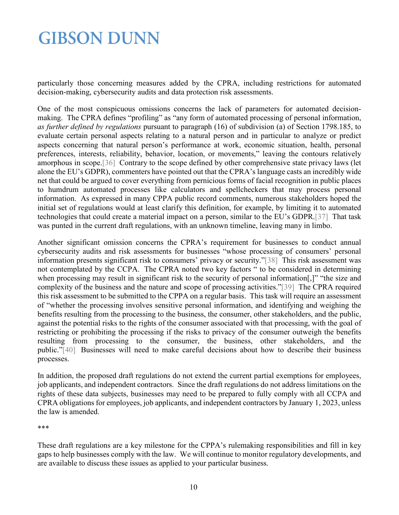particularly those concerning measures added by the CPRA, including restrictions for automated decision-making, cybersecurity audits and data protection risk assessments.

One of the most conspicuous omissions concerns the lack of parameters for automated decisionmaking. The CPRA defines "profiling" as "any form of automated processing of personal information, *as further defined by regulations* pursuant to paragraph (16) of subdivision (a) of Section 1798.185, to evaluate certain personal aspects relating to a natural person and in particular to analyze or predict aspects concerning that natural person's performance at work, economic situation, health, personal preferences, interests, reliability, behavior, location, or movements," leaving the contours relatively amorphous in scope[.\[36\]](#page-11-19) Contrary to the scope defined by other comprehensive state privacy laws (let alone the EU's GDPR), commenters have pointed out that the CPRA's language casts an incredibly wide net that could be argued to cover everything from pernicious forms of facial recognition in public places to humdrum automated processes like calculators and spellcheckers that may process personal information. As expressed in many CPPA public record comments, numerous stakeholders hoped the initial set of regulations would at least clarify this definition, for example, by limiting it to automated technologies that could create a material impact on a person, similar to the EU's GDPR[.\[37\]](#page-12-0) That task was punted in the current draft regulations, with an unknown timeline, leaving many in limbo.

Another significant omission concerns the CPRA's requirement for businesses to conduct annual cybersecurity audits and risk assessments for businesses "whose processing of consumers' personal information presents significant risk to consumers' privacy or security.["\[38\]](#page-12-1) This risk assessment was not contemplated by the CCPA. The CPRA noted two key factors " to be considered in determining when processing may result in significant risk to the security of personal information[,]" "the size and complexity of the business and the nature and scope of processing activities.["\[39\]](#page-12-2) The CPRA required this risk assessment to be submitted to the CPPA on a regular basis. This task will require an assessment of "whether the processing involves sensitive personal information, and identifying and weighing the benefits resulting from the processing to the business, the consumer, other stakeholders, and the public, against the potential risks to the rights of the consumer associated with that processing, with the goal of restricting or prohibiting the processing if the risks to privacy of the consumer outweigh the benefits resulting from processing to the consumer, the business, other stakeholders, and the public.["\[40\]](#page-12-3) Businesses will need to make careful decisions about how to describe their business processes.

In addition, the proposed draft regulations do not extend the current partial exemptions for employees, job applicants, and independent contractors. Since the draft regulations do not address limitations on the rights of these data subjects, businesses may need to be prepared to fully comply with all CCPA and CPRA obligations for employees, job applicants, and independent contractors by January 1, 2023, unless the law is amended.

\*\*\*

These draft regulations are a key milestone for the CPPA's rulemaking responsibilities and fill in key gaps to help businesses comply with the law. We will continue to monitor regulatory developments, and are available to discuss these issues as applied to your particular business.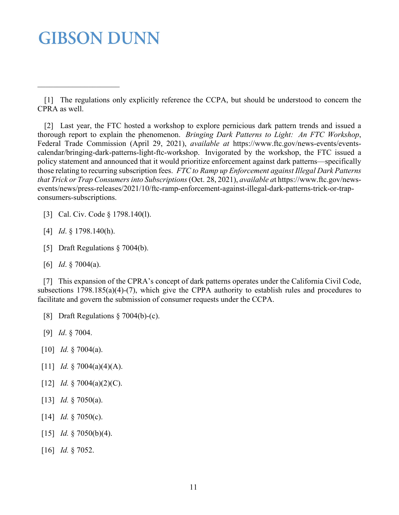<span id="page-10-1"></span> [2] Last year, the FTC hosted a workshop to explore pernicious dark pattern trends and issued a thorough report to explain the phenomenon. *Bringing Dark Patterns to Light: An FTC Workshop*, Federal Trade Commission (April 29, 2021), *available at* https://www.ftc.gov/news-events/eventscalendar/bringing-dark-patterns-light-ftc-workshop. Invigorated by the workshop, the FTC issued a policy statement and announced that it would prioritize enforcement against dark patterns—specifically those relating to recurring subscription fees. *FTC to Ramp up Enforcement against Illegal Dark Patterns that Trick or Trap Consumers into Subscriptions*(Oct. 28, 2021), *available a*t https://www.ftc.gov/newsevents/news/press-releases/2021/10/ftc-ramp-enforcement-against-illegal-dark-patterns-trick-or-trapconsumers-subscriptions.

- <span id="page-10-2"></span>[3] Cal. Civ. Code § 1798.140(1).
- <span id="page-10-3"></span>[4] *Id*. § 1798.140(h).
- <span id="page-10-4"></span>[5] Draft Regulations § 7004(b).
- [6] *Id*. § 7004(a).

<span id="page-10-5"></span>[7] This expansion of the CPRA's concept of dark patterns operates under the California Civil Code, subsections 1798.185(a)(4)-(7), which give the CPPA authority to establish rules and procedures to facilitate and govern the submission of consumer requests under the CCPA.

- <span id="page-10-7"></span><span id="page-10-6"></span>[8] Draft Regulations § 7004(b)-(c).
- <span id="page-10-8"></span>[9] *Id*. § 7004.
- <span id="page-10-9"></span>[10] *Id.* § 7004(a).
- <span id="page-10-10"></span>[11] *Id.* § 7004(a)(4)(A).
- <span id="page-10-11"></span>[12] *Id.* § 7004(a)(2)(C).
- <span id="page-10-12"></span>[13] *Id.* § 7050(a).
- <span id="page-10-13"></span>[14] *Id.* § 7050(c).
- <span id="page-10-14"></span>[15] *Id.* § 7050(b)(4).
- [16] *Id.* § 7052.

<span id="page-10-0"></span> <sup>[1]</sup> The regulations only explicitly reference the CCPA, but should be understood to concern the CPRA as well.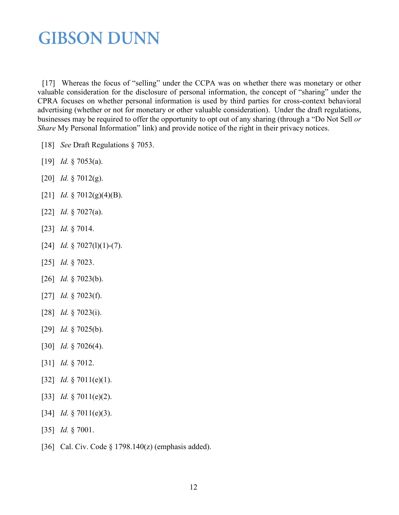<span id="page-11-0"></span>[17] Whereas the focus of "selling" under the CCPA was on whether there was monetary or other valuable consideration for the disclosure of personal information, the concept of "sharing" under the CPRA focuses on whether personal information is used by third parties for cross-context behavioral advertising (whether or not for monetary or other valuable consideration). Under the draft regulations, businesses may be required to offer the opportunity to opt out of any sharing (through a "Do Not Sell *or Share* My Personal Information" link) and provide notice of the right in their privacy notices.

- <span id="page-11-2"></span><span id="page-11-1"></span>[18] *See* Draft Regulations § 7053.
- <span id="page-11-3"></span>[19] *Id.* § 7053(a).
- <span id="page-11-4"></span>[20] *Id.* § 7012(g).
- <span id="page-11-5"></span>[21] *Id.* § 7012(g)(4)(B).
- <span id="page-11-6"></span>[22] *Id.* § 7027(a).
- <span id="page-11-7"></span>[23] *Id.* § 7014.
- <span id="page-11-8"></span>[24] *Id.* § 7027(1)(1)-(7).
- <span id="page-11-9"></span>[25] *Id.* § 7023.
- <span id="page-11-10"></span>[26] *Id.* § 7023(b).
- <span id="page-11-11"></span>[27] *Id.* § 7023(f).
- <span id="page-11-12"></span>[28] *Id.* § 7023(i).
- <span id="page-11-13"></span>[29] *Id.* § 7025(b).
- <span id="page-11-14"></span>[30] *Id.* § 7026(4).
- <span id="page-11-15"></span>[31] *Id.* § 7012.
- <span id="page-11-16"></span>[32] *Id.* § 7011(e)(1).
- <span id="page-11-17"></span>[33] *Id.* § 7011(e)(2).
- <span id="page-11-18"></span>[34] *Id.* § 7011(e)(3).
- <span id="page-11-19"></span>[35] *Id.* § 7001.
- [36] Cal. Civ. Code § 1798.140(z) (emphasis added).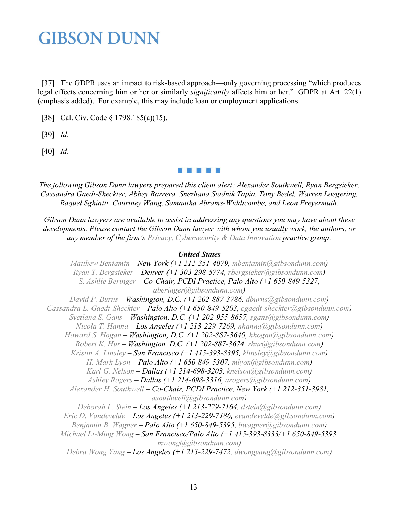<span id="page-12-0"></span>[37] The GDPR uses an impact to risk-based approach—only governing processing "which produces" legal effects concerning him or her or similarly *significantly* affects him or her." GDPR at Art. 22(1) (emphasis added). For example, this may include loan or employment applications.

<span id="page-12-2"></span><span id="page-12-1"></span>[38] Cal. Civ. Code § 1798.185(a)(15).

<span id="page-12-3"></span>[39] *Id*.

[40] *Id*.

a a n a a

*The following Gibson Dunn lawyers prepared this client alert: Alexander Southwell, Ryan Bergsieker, Cassandra Gaedt-Sheckter, Abbey Barrera, Snezhana Stadnik Tapia, Tony Bedel, Warren Loegering, Raquel Sghiatti, Courtney Wang, Samantha Abrams-Widdicombe, and Leon Freyermuth.*

*Gibson Dunn lawyers are available to assist in addressing any questions you may have about these developments. Please contact the Gibson Dunn lawyer with whom you usually work, the authors, or any member of the firm's [Privacy, Cybersecurity & Data Innovation](https://www.gibsondunn.com/practice/privacy-cybersecurity-and-data-innovation/) practice group:*

#### *United States*

*[Matthew Benjamin](https://www.gibsondunn.com/lawyer/benjamin-matthew/) – New York (+1 212-351-4079, [mbenjamin@gibsondunn.com\)](mailto:mbenjamin@gibsondunn.com) [Ryan T. Bergsieker](https://www.gibsondunn.com/lawyer/bergsieker-ryan-t/) – Denver (+1 303-298-5774, [rbergsieker@gibsondunn.com\)](mailto:rbergsieker@gibsondunn.com) [S. Ashlie Beringer](https://www.gibsondunn.com/lawyer/beringer-s-ashlie/) – Co-Chair, PCDI Practice, Palo Alto (+1 650-849-5327, [aberinger@gibsondunn.com\)](mailto:aberinger@gibsondunn.com) [David P. Burns](https://www.gibsondunn.com/lawyer/burns-david-p/) – Washington, D.C. (+1 202-887-3786, [dburns@gibsondunn.com\)](mailto:dburns@gibsondunn.com) [Cassandra L. Gaedt-Sheckter](https://www.gibsondunn.com/lawyer/gaedt-sheckter-cassandra-l/) – Palo Alto (+1 650-849-5203, [cgaedt-sheckter@gibsondunn.com\)](mailto:cgaedt-sheckter@gibsondunn.com) [Svetlana S. Gans](https://www.gibsondunn.com/lawyer/gans-svetlana-s/) – Washington, D.C. (+1 202-955-8657, [sgans@gibsondunn.com\)](mailto:sgans@gibsondunn.com) [Nicola T. Hanna](https://www.gibsondunn.com/lawyer/hanna-nicola-t/) – Los Angeles (+1 213-229-7269, [nhanna@gibsondunn.com\)](mailto:nhanna@gibsondunn.com) [Howard S. Hogan](https://www.gibsondunn.com/lawyer/hogan-howard-s/) – Washington, D.C. (+1 202-887-3640, [hhogan@gibsondunn.com\)](mailto:hhogan@gibsondunn.com) [Robert K. Hur](https://www.gibsondunn.com/lawyer/hur-robert-k/) – Washington, D.C. (+1 202-887-3674, [rhur@gibsondunn.com\)](mailto:rhur@gibsondunn.com) [Kristin A. Linsley](https://www.gibsondunn.com/lawyer/linsley-kristin-a/) – San Francisco (+1 415-393-8395, [klinsley@gibsondunn.com\)](mailto:klinsley@gibsondunn.com) [H. Mark Lyon](https://www.gibsondunn.com/lawyer/lyon-h-mark/) – Palo Alto (+1 650-849-5307, [mlyon@gibsondunn.com\)](mailto:mlyon@gibsondunn.com) [Karl G. Nelson](https://www.gibsondunn.com/lawyer/nelson-karl-g/) – Dallas (+1 214-698-3203, [knelson@gibsondunn.com\)](mailto:knelson@gibsondunn.com) [Ashley Rogers](https://www.gibsondunn.com/lawyer/rogers-ashley/) – Dallas (+1 214-698-3316, [arogers@gibsondunn.com\)](mailto:arogers@gibsondunn.com) [Alexander H. Southwell](https://www.gibsondunn.com/lawyer/southwell-alexander-h/) – Co-Chair, PCDI Practice, New York (+1 212-351-3981, [asouthwell@gibsondunn.com\)](mailto:asouthwell@gibsondunn.com) [Deborah L. Stein](https://www.gibsondunn.com/lawyer/stein-deborah-l/) – Los Angeles (+1 213-229-7164, [dstein@gibsondunn.com\)](mailto:dstein@gibsondunn.com) [Eric D. Vandevelde](https://www.gibsondunn.com/lawyer/vandevelde-eric-d/) – Los Angeles (+1 213-229-7186, [evandevelde@gibsondunn.com\)](mailto:evandevelde@gibsondunn.com) [Benjamin B. Wagner](https://www.gibsondunn.com/lawyer/wagner-benjamin/) – Palo Alto (+1 650-849-5395, [bwagner@gibsondunn.com\)](mailto:bwagner@gibsondunn.com) [Michael Li-Ming Wong](https://www.gibsondunn.com/lawyer/wong-michael-li-ming/) – San Francisco/Palo Alto (+1 415-393-8333/+1 650-849-5393, [mwong@gibsondunn.com\)](mailto:mwong@gibsondunn.com) [Debra Wong Yang](https://www.gibsondunn.com/lawyer/yang-debra-wong/) – Los Angeles (+1 213-229-7472, [dwongyang@gibsondunn.com\)](mailto:dwongyang@gibsondunn.com)*